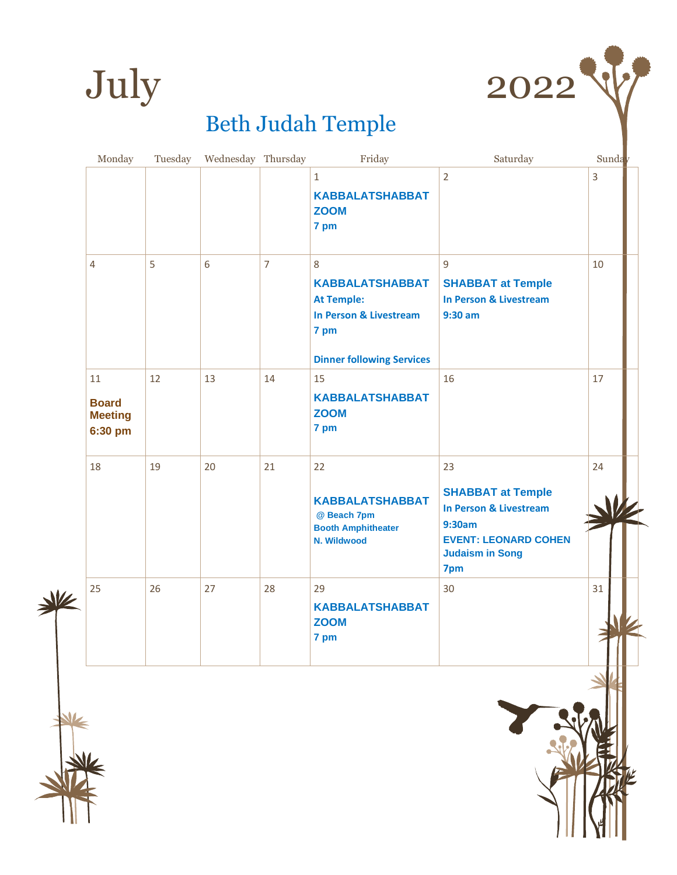



| Monday                                          | Tuesday | Wednesday Thursday |                | Friday                                                                                                                            | Saturday                                                                                                                                      | Sunday |
|-------------------------------------------------|---------|--------------------|----------------|-----------------------------------------------------------------------------------------------------------------------------------|-----------------------------------------------------------------------------------------------------------------------------------------------|--------|
|                                                 |         |                    |                | $\mathbf{1}$<br><b>KABBALATSHABBAT</b><br><b>ZOOM</b><br>7 pm                                                                     | $\overline{2}$                                                                                                                                | 3      |
| $\overline{4}$                                  | 5       | 6                  | $\overline{7}$ | 8<br><b>KABBALATSHABBAT</b><br><b>At Temple:</b><br><b>In Person &amp; Livestream</b><br>7 pm<br><b>Dinner following Services</b> | 9<br><b>SHABBAT at Temple</b><br><b>In Person &amp; Livestream</b><br>$9:30$ am                                                               | 10     |
| 11<br><b>Board</b><br><b>Meeting</b><br>6:30 pm | 12      | 13                 | 14             | 15<br><b>KABBALATSHABBAT</b><br><b>ZOOM</b><br>7 pm                                                                               | 16                                                                                                                                            | 17     |
| 18                                              | 19      | 20                 | 21             | 22<br><b>KABBALATSHABBAT</b><br>@ Beach 7pm<br><b>Booth Amphitheater</b><br>N. Wildwood                                           | 23<br><b>SHABBAT at Temple</b><br><b>In Person &amp; Livestream</b><br>9:30am<br><b>EVENT: LEONARD COHEN</b><br><b>Judaism in Song</b><br>7pm | 24     |
| 25                                              | 26      | 27                 | 28             | 29<br><b>KABBALATSHABBAT</b><br><b>ZOOM</b><br>7 pm                                                                               | 30                                                                                                                                            | 31     |



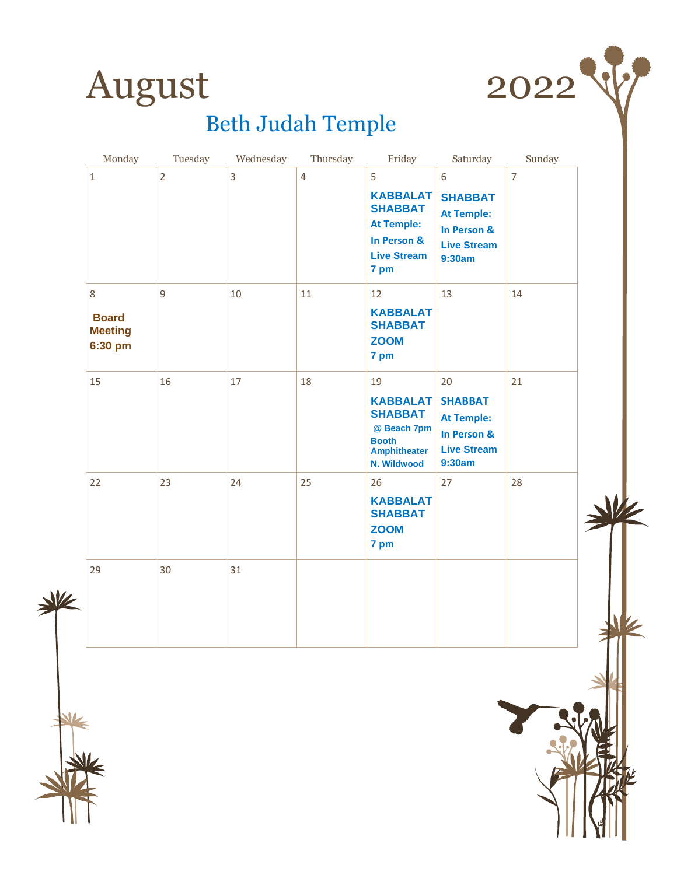



| Monday                                         | Tuesday        | Wednesday | Thursday       | Friday                                                                                                       | Saturday                                                                                 | Sunday         |  |
|------------------------------------------------|----------------|-----------|----------------|--------------------------------------------------------------------------------------------------------------|------------------------------------------------------------------------------------------|----------------|--|
| $\mathbf 1$                                    | $\overline{2}$ | 3         | $\overline{4}$ | 5<br><b>KABBALAT</b><br><b>SHABBAT</b><br><b>At Temple:</b><br>In Person &<br><b>Live Stream</b><br>7 pm     | 6<br><b>SHABBAT</b><br><b>At Temple:</b><br>In Person &<br><b>Live Stream</b><br>9:30am  | $\overline{7}$ |  |
| 8<br><b>Board</b><br><b>Meeting</b><br>6:30 pm | 9              | 10        | 11             | 12<br><b>KABBALAT</b><br><b>SHABBAT</b><br><b>ZOOM</b><br>7 pm                                               | 13                                                                                       | 14             |  |
| 15                                             | 16             | 17        | 18             | 19<br><b>KABBALAT</b><br><b>SHABBAT</b><br>@ Beach 7pm<br><b>Booth</b><br><b>Amphitheater</b><br>N. Wildwood | 20<br><b>SHABBAT</b><br><b>At Temple:</b><br>In Person &<br><b>Live Stream</b><br>9:30am | 21             |  |
| 22                                             | 23             | 24        | 25             | 26<br><b>KABBALAT</b><br><b>SHABBAT</b><br><b>ZOOM</b><br>7 pm                                               | 27                                                                                       | 28             |  |
| 29                                             | 30             | 31        |                |                                                                                                              |                                                                                          |                |  |



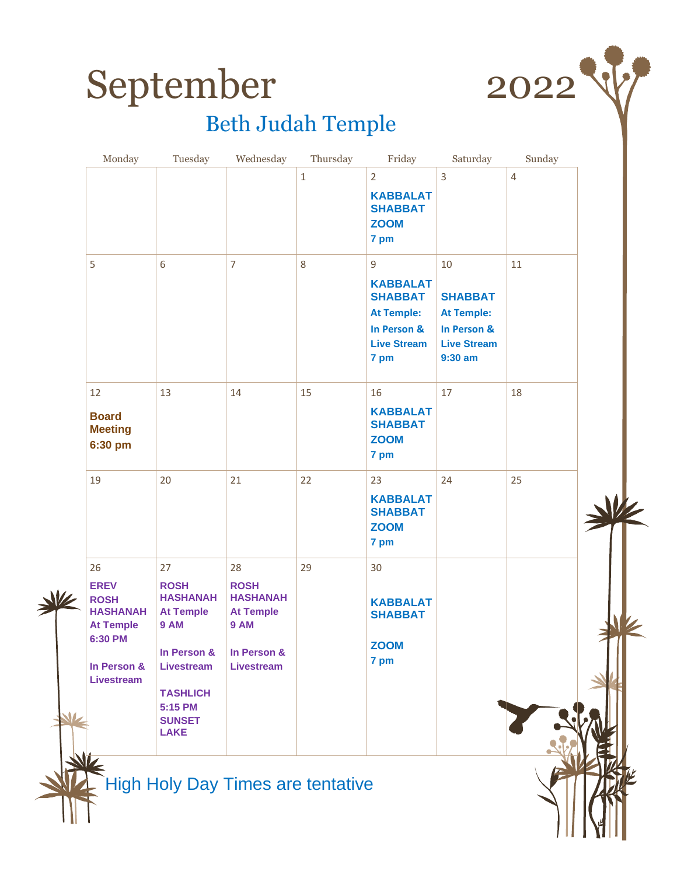



| $\overline{2}$<br>3<br>$\mathbf 1$<br>$\overline{4}$<br><b>KABBALAT</b><br><b>SHABBAT</b><br><b>ZOOM</b><br>7 pm<br>6<br>$\overline{7}$<br>8<br>11<br>5<br>9<br>10<br><b>KABBALAT</b><br><b>SHABBAT</b><br><b>SHABBAT</b><br><b>At Temple:</b><br><b>At Temple:</b><br>In Person &<br>In Person &<br><b>Live Stream</b><br><b>Live Stream</b><br>$9:30$ am<br>7 pm<br>15<br>18<br>17<br>12<br>13<br>14<br>16<br><b>KABBALAT</b><br><b>Board</b><br><b>SHABBAT</b><br><b>Meeting</b><br><b>ZOOM</b><br>6:30 pm<br>7 pm<br>25<br>19<br>20<br>21<br>22<br>23<br>24<br><b>KABBALAT</b><br><b>SHABBAT</b><br><b>ZOOM</b><br>7 pm<br>29<br>30<br>26<br>28<br>27<br><b>ROSH</b><br><b>ROSH</b><br><b>EREV</b><br><b>HASHANAH</b><br><b>HASHANAH</b><br><b>ROSH</b><br><b>KABBALAT</b><br><b>HASHANAH</b><br><b>At Temple</b><br><b>At Temple</b><br><b>SHABBAT</b><br><b>9 AM</b><br><b>9 AM</b><br><b>At Temple</b><br>6:30 PM<br><b>ZOOM</b><br>In Person &<br>In Person &<br>7 pm<br>In Person &<br><b>Livestream</b><br><b>Livestream</b><br><b>Livestream</b><br><b>TASHLICH</b><br>5:15 PM | Monday | Tuesday | Wednesday | Thursday | Friday | Saturday | Sunday |  |
|-------------------------------------------------------------------------------------------------------------------------------------------------------------------------------------------------------------------------------------------------------------------------------------------------------------------------------------------------------------------------------------------------------------------------------------------------------------------------------------------------------------------------------------------------------------------------------------------------------------------------------------------------------------------------------------------------------------------------------------------------------------------------------------------------------------------------------------------------------------------------------------------------------------------------------------------------------------------------------------------------------------------------------------------------------------------------------------------|--------|---------|-----------|----------|--------|----------|--------|--|
|                                                                                                                                                                                                                                                                                                                                                                                                                                                                                                                                                                                                                                                                                                                                                                                                                                                                                                                                                                                                                                                                                           |        |         |           |          |        |          |        |  |
|                                                                                                                                                                                                                                                                                                                                                                                                                                                                                                                                                                                                                                                                                                                                                                                                                                                                                                                                                                                                                                                                                           |        |         |           |          |        |          |        |  |
|                                                                                                                                                                                                                                                                                                                                                                                                                                                                                                                                                                                                                                                                                                                                                                                                                                                                                                                                                                                                                                                                                           |        |         |           |          |        |          |        |  |
|                                                                                                                                                                                                                                                                                                                                                                                                                                                                                                                                                                                                                                                                                                                                                                                                                                                                                                                                                                                                                                                                                           |        |         |           |          |        |          |        |  |
| <b>SUNSET</b><br><b>LAKE</b>                                                                                                                                                                                                                                                                                                                                                                                                                                                                                                                                                                                                                                                                                                                                                                                                                                                                                                                                                                                                                                                              |        |         |           |          |        |          |        |  |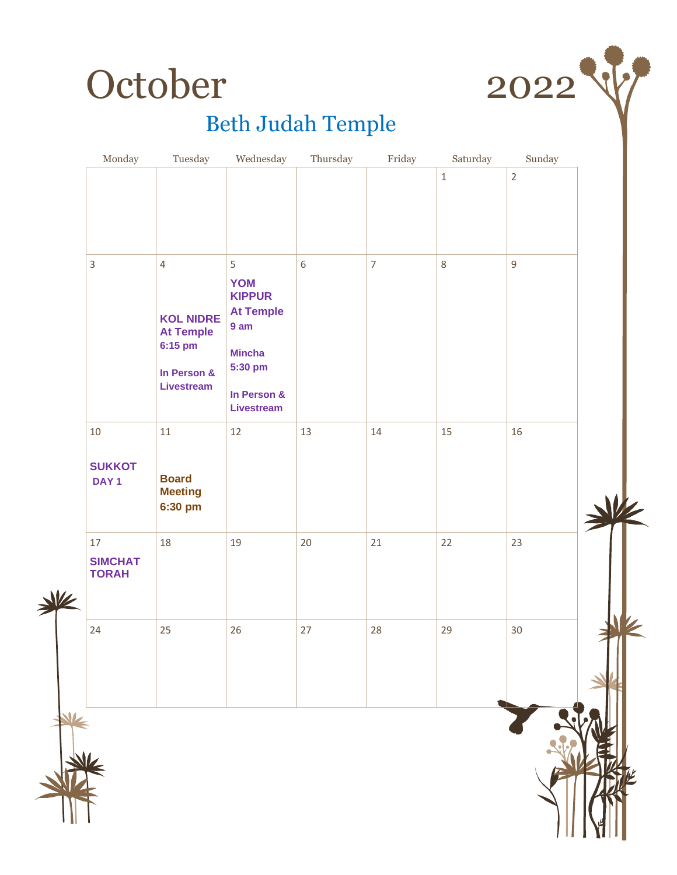



| Monday                                   | Tuesday                                                           | Wednesday                                                                     | Thursday   | Friday         | Saturday    | Sunday         |  |
|------------------------------------------|-------------------------------------------------------------------|-------------------------------------------------------------------------------|------------|----------------|-------------|----------------|--|
|                                          |                                                                   |                                                                               |            |                | $\mathbf 1$ | $\overline{2}$ |  |
|                                          |                                                                   |                                                                               |            |                |             |                |  |
|                                          |                                                                   |                                                                               |            |                |             |                |  |
| $\overline{3}$                           | $\overline{4}$<br><b>KOL NIDRE</b><br><b>At Temple</b><br>6:15 pm | 5<br><b>YOM</b><br><b>KIPPUR</b><br><b>At Temple</b><br>9 am<br><b>Mincha</b> | $\sqrt{6}$ | $\overline{7}$ | $\,8\,$     | 9              |  |
|                                          | In Person &<br><b>Livestream</b>                                  | 5:30 pm<br>In Person &<br>Livestream                                          |            |                |             |                |  |
| $10\,$                                   | $11\,$                                                            | 12                                                                            | 13         | 14             | 15          | 16             |  |
| <b>SUKKOT</b><br>DAY <sub>1</sub>        | <b>Board</b><br><b>Meeting</b><br>6:30 pm                         |                                                                               |            |                |             |                |  |
| $17\,$<br><b>SIMCHAT</b><br><b>TORAH</b> | 18                                                                | 19                                                                            | 20         | 21             | 22          | 23             |  |
| 24                                       | 25                                                                | 26                                                                            | 27         | 28             | 29          | 30             |  |
|                                          |                                                                   |                                                                               |            |                |             |                |  |
|                                          |                                                                   |                                                                               |            |                |             |                |  |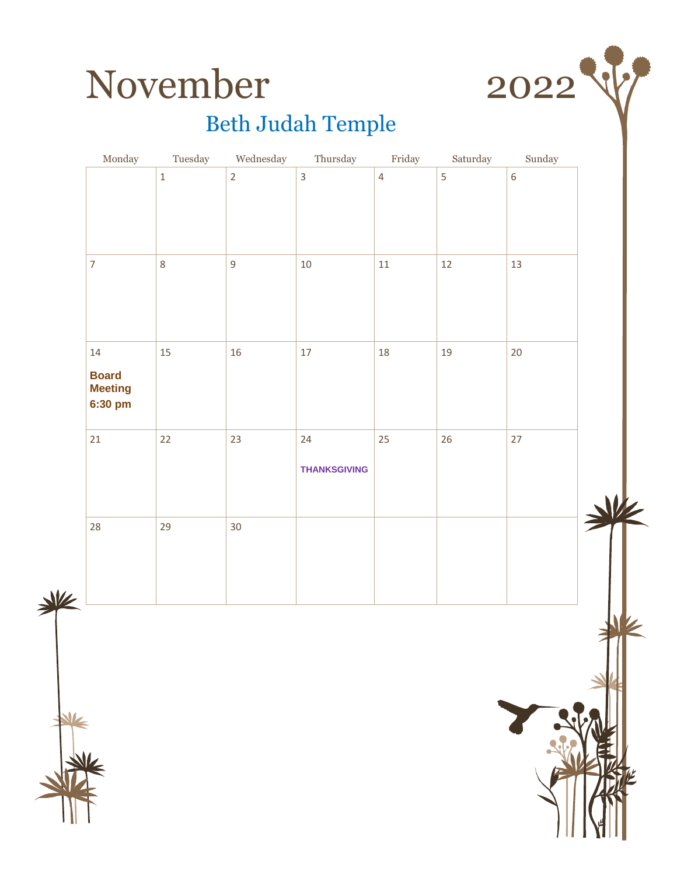



|   | $\operatorname{Monday}$   | Tuesday | Wednesday      | Thursday            | Friday         | Saturday       | $\operatorname*{Sunday}% \nolimits_{\mathbb{Z}}\left( \mathbb{Z}^{\Sigma\left( 1\right) }\right) ^{\ast}$ |   |
|---|---------------------------|---------|----------------|---------------------|----------------|----------------|-----------------------------------------------------------------------------------------------------------|---|
|   |                           | $\,1\,$ | $\overline{2}$ | $\overline{3}$      | $\overline{4}$ | $\overline{5}$ | $\boldsymbol{6}$                                                                                          |   |
|   |                           |         |                |                     |                |                |                                                                                                           |   |
|   |                           |         |                |                     |                |                |                                                                                                           |   |
|   | $\overline{7}$            | $\,8\,$ | $\mathsf g$    | $10\,$              | $11\,$         | $12$           | 13                                                                                                        |   |
|   |                           |         |                |                     |                |                |                                                                                                           |   |
|   |                           |         |                |                     |                |                |                                                                                                           |   |
|   | 14                        | 15      | $16\,$         | $17\,$              | 18             | 19             | $20\,$                                                                                                    |   |
|   | <b>Board</b>              |         |                |                     |                |                |                                                                                                           |   |
|   | <b>Meeting</b><br>6:30 pm |         |                |                     |                |                |                                                                                                           |   |
|   | 21                        | 22      | 23             | 24                  | 25             | $26\,$         | $27\,$                                                                                                    |   |
|   |                           |         |                |                     |                |                |                                                                                                           |   |
|   |                           |         |                | <b>THANKSGIVING</b> |                |                |                                                                                                           |   |
|   |                           |         |                |                     |                |                |                                                                                                           | M |
|   | 28                        | 29      | 30             |                     |                |                |                                                                                                           |   |
|   |                           |         |                |                     |                |                |                                                                                                           |   |
| 业 |                           |         |                |                     |                |                |                                                                                                           |   |
|   |                           |         |                |                     |                |                |                                                                                                           |   |
|   |                           |         |                |                     |                |                |                                                                                                           |   |
|   |                           |         |                |                     |                |                |                                                                                                           |   |
|   |                           |         |                |                     |                |                |                                                                                                           |   |
|   |                           |         |                |                     |                |                |                                                                                                           |   |
|   |                           |         |                |                     |                |                |                                                                                                           |   |
|   |                           |         |                |                     |                |                |                                                                                                           |   |
|   |                           |         |                |                     |                |                |                                                                                                           |   |
|   |                           |         |                |                     |                |                |                                                                                                           |   |